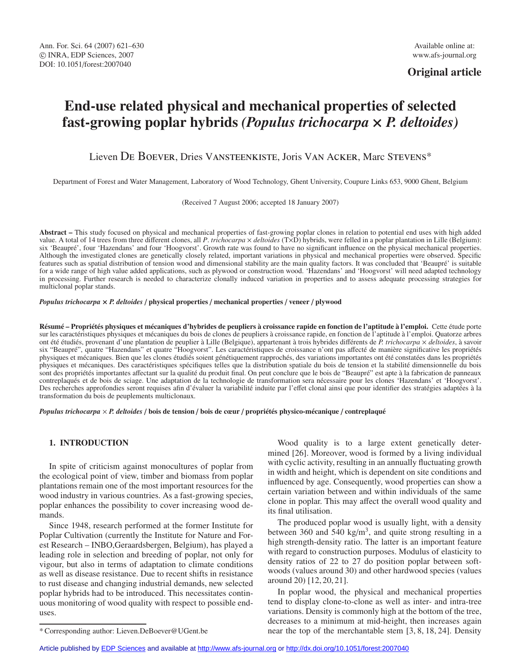# **Original article**

# **End-use related physical and mechanical properties of selected fast-growing poplar hybrids** *(Populus trichocarpa* × *P. deltoides)*

Lieven De Boever, Dries Vansteenkiste, Joris Van Acker, Marc Stevens\*

Department of Forest and Water Management, Laboratory of Wood Technology, Ghent University, Coupure Links 653, 9000 Ghent, Belgium

(Received 7 August 2006; accepted 18 January 2007)

**Abstract –** This study focused on physical and mechanical properties of fast-growing poplar clones in relation to potential end uses with high added value. A total of 14 trees from three different clones, all *P. trichocarpa* × *deltoides* (T×D) hybrids, were felled in a poplar plantation in Lille (Belgium): six 'Beaupré', four 'Hazendans' and four 'Hoogvorst'. Growth rate was found to have no significant influence on the physical mechanical properties. Although the investigated clones are genetically closely related, important variations in physical and mechanical properties were observed. Specific features such as spatial distribution of tension wood and dimensional stability are the main quality factors. It was concluded that 'Beaupré' is suitable for a wide range of high value added applications, such as plywood or construction wood. 'Hazendans' and 'Hoogvorst' will need adapted technology in processing. Further research is needed to characterize clonally induced variation in properties and to assess adequate processing strategies for multiclonal poplar stands.

*Populus trichocarpa* × *P. deltoides* / **physical properties** / **mechanical properties** / **veneer** / **plywood**

**Résumé – Propriétés physiques et mécaniques d'hybrides de peupliers à croissance rapide en fonction de l'aptitude à l'emploi.** Cette étude porte sur les caractéristiques physiques et mécaniques du bois de clones de peupliers à croissance rapide, en fonction de l'aptitude à l'emploi. Quatorze arbres ont été étudiés, provenant d'une plantation de peuplier à Lille (Belgique), appartenant à trois hybrides différents de P. trichocarpa × deltoides, à savoir<br>six "Beaupré", quatre "Hazendans" et quatre "Hoogvorst". Les carac physiques et mécaniques. Bien que les clones étudiés soient génétiquement rapprochés, des variations importantes ont été constatées dans les propriétés physiques et mécaniques. Des caractéristiques spécifiques telles que la distribution spatiale du bois de tension et la stabilité dimensionnelle du bois sont des propriétés importantes affectant sur la qualité du produit final. On peut conclure que le bois de "Beaupré" est apte à la fabrication de panneaux contreplaqués et de bois de sciage. Une adaptation de la technologie de transformation sera nécessaire pour les clones 'Hazendans' et 'Hoogvorst'. Des recherches approfondies seront requises afin d'évaluer la variabilité induite par l'effet clonal ainsi que pour identifier des stratégies adaptées à la transformation du bois de peuplements multiclonaux.

*Populus trichocarpa* × *P. deltoides* / **bois de tension** / **bois de cœur** / **propriétés physico-mécanique** / **contreplaqué**

# **1. INTRODUCTION**

In spite of criticism against monocultures of poplar from the ecological point of view, timber and biomass from poplar plantations remain one of the most important resources for the wood industry in various countries. As a fast-growing species, poplar enhances the possibility to cover increasing wood demands.

Since 1948, research performed at the former Institute for Poplar Cultivation (currently the Institute for Nature and Forest Research – INBO,Geraardsbergen, Belgium), has played a leading role in selection and breeding of poplar, not only for vigour, but also in terms of adaptation to climate conditions as well as disease resistance. Due to recent shifts in resistance to rust disease and changing industrial demands, new selected poplar hybrids had to be introduced. This necessitates continuous monitoring of wood quality with respect to possible enduses.

Wood quality is to a large extent genetically determined [26]. Moreover, wood is formed by a living individual with cyclic activity, resulting in an annually fluctuating growth in width and height, which is dependent on site conditions and influenced by age. Consequently, wood properties can show a certain variation between and within individuals of the same clone in poplar. This may affect the overall wood quality and its final utilisation.

The produced poplar wood is usually light, with a density between 360 and 540 kg/m<sup>3</sup>, and quite strong resulting in a high strength-density ratio. The latter is an important feature with regard to construction purposes. Modulus of elasticity to density ratios of 22 to 27 do position poplar between softwoods (values around 30) and other hardwood species (values around 20) [12, 20, 21].

In poplar wood, the physical and mechanical properties tend to display clone-to-clone as well as inter- and intra-tree variations. Density is commonly high at the bottom of the tree, decreases to a minimum at mid-height, then increases again near the top of the merchantable stem [3, 8, 18, 24]. Density

<sup>\*</sup> Corresponding author: Lieven.DeBoever@UGent.be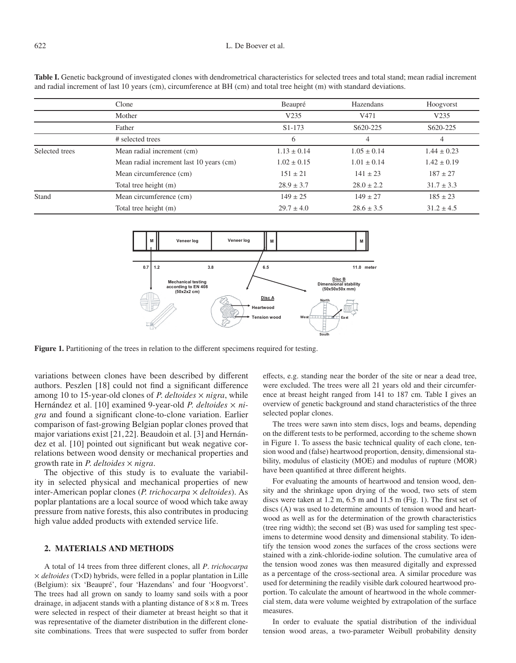**Table I.** Genetic background of investigated clones with dendrometrical characteristics for selected trees and total stand; mean radial increment and radial increment of last 10 years (cm), circumference at BH (cm) and total tree height (m) with standard deviations.

|                | Clone                                    | Beaupré         | Hazendans        | Hoogyorst        |
|----------------|------------------------------------------|-----------------|------------------|------------------|
|                | Mother                                   | V235            | V <sub>471</sub> | V <sub>235</sub> |
|                | Father                                   | $S1-173$        | S620-225         | S620-225         |
|                | # selected trees                         | 6               | 4                | 4                |
| Selected trees | Mean radial increment (cm)               | $1.13 \pm 0.14$ | $1.05 \pm 0.14$  | $1.44 \pm 0.23$  |
|                | Mean radial increment last 10 years (cm) | $1.02 \pm 0.15$ | $1.01 \pm 0.14$  | $1.42 \pm 0.19$  |
|                | Mean circumference (cm)                  | $151 \pm 21$    | $141 \pm 23$     | $187 + 27$       |
|                | Total tree height (m)                    | $28.9 \pm 3.7$  | $28.0 \pm 2.2$   | $31.7 \pm 3.3$   |
| Stand          | Mean circumference (cm)                  | $149 \pm 25$    | $149 \pm 27$     | $185 + 23$       |
|                | Total tree height (m)                    | $29.7 \pm 4.0$  | $28.6 \pm 3.5$   | $31.2 \pm 4.5$   |



**Figure 1.** Partitioning of the trees in relation to the different specimens required for testing.

variations between clones have been described by different authors. Peszlen [18] could not find a significant difference among 10 to 15-year-old clones of *P*. *deltoides* × *nigra*, while Hernández et al. [10] examined 9-year-old *P*. *deltoides* × *nigra* and found a significant clone-to-clone variation. Earlier comparison of fast-growing Belgian poplar clones proved that major variations exist [21,22]. Beaudoin et al. [3] and Hernández et al. [10] pointed out significant but weak negative correlations between wood density or mechanical properties and growth rate in *P*. *deltoides* × *nigra*.

The objective of this study is to evaluate the variability in selected physical and mechanical properties of new inter-American poplar clones (*P. trichocarpa* × *deltoides*). As poplar plantations are a local source of wood which take away pressure from native forests, this also contributes in producing high value added products with extended service life.

# **2. MATERIALS AND METHODS**

A total of 14 trees from three different clones, all *P*. *trichocarpa* × *deltoides* (T×D) hybrids, were felled in a poplar plantation in Lille (Belgium): six 'Beaupré', four 'Hazendans' and four 'Hoogvorst'. The trees had all grown on sandy to loamy sand soils with a poor drainage, in adjacent stands with a planting distance of  $8 \times 8$  m. Trees were selected in respect of their diameter at breast height so that it was representative of the diameter distribution in the different clonesite combinations. Trees that were suspected to suffer from border effects, e.g. standing near the border of the site or near a dead tree, were excluded. The trees were all 21 years old and their circumference at breast height ranged from 141 to 187 cm. Table I gives an overview of genetic background and stand characteristics of the three selected poplar clones.

The trees were sawn into stem discs, logs and beams, depending on the different tests to be performed, according to the scheme shown in Figure 1. To assess the basic technical quality of each clone, tension wood and (false) heartwood proportion, density, dimensional stability, modulus of elasticity (MOE) and modulus of rupture (MOR) have been quantified at three different heights.

For evaluating the amounts of heartwood and tension wood, density and the shrinkage upon drying of the wood, two sets of stem discs were taken at 1.2 m, 6.5 m and 11.5 m (Fig. 1). The first set of discs (A) was used to determine amounts of tension wood and heartwood as well as for the determination of the growth characteristics (tree ring width); the second set (B) was used for sampling test specimens to determine wood density and dimensional stability. To identify the tension wood zones the surfaces of the cross sections were stained with a zink-chloride-iodine solution. The cumulative area of the tension wood zones was then measured digitally and expressed as a percentage of the cross-sectional area. A similar procedure was used for determining the readily visible dark coloured heartwood proportion. To calculate the amount of heartwood in the whole commercial stem, data were volume weighted by extrapolation of the surface measures.

In order to evaluate the spatial distribution of the individual tension wood areas, a two-parameter Weibull probability density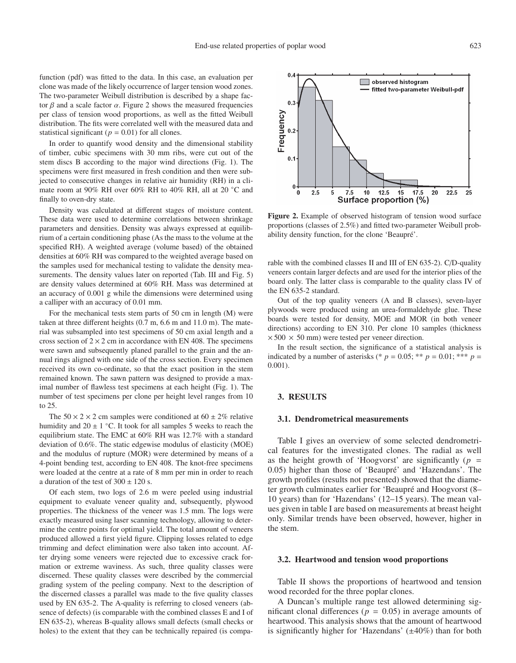function (pdf) was fitted to the data. In this case, an evaluation per clone was made of the likely occurrence of larger tension wood zones. The two-parameter Weibull distribution is described by a shape factor  $\beta$  and a scale factor  $\alpha$ . Figure 2 shows the measured frequencies per class of tension wood proportions, as well as the fitted Weibull distribution. The fits were correlated well with the measured data and statistical significant ( $p = 0.01$ ) for all clones.

In order to quantify wood density and the dimensional stability of timber, cubic specimens with 30 mm ribs, were cut out of the stem discs B according to the major wind directions (Fig. 1). The specimens were first measured in fresh condition and then were subjected to consecutive changes in relative air humidity (RH) in a climate room at 90% RH over 60% RH to 40% RH, all at 20 ◦C and finally to oven-dry state.

Density was calculated at different stages of moisture content. These data were used to determine correlations between shrinkage parameters and densities. Density was always expressed at equilibrium of a certain conditioning phase (As the mass to the volume at the specified RH). A weighted average (volume based) of the obtained densities at 60% RH was compared to the weighted average based on the samples used for mechanical testing to validate the density measurements. The density values later on reported (Tab. III and Fig. 5) are density values determined at 60% RH. Mass was determined at an accuracy of 0.001 g while the dimensions were determined using a calliper with an accuracy of 0.01 mm.

For the mechanical tests stem parts of 50 cm in length (M) were taken at three different heights (0.7 m, 6.6 m and 11.0 m). The material was subsampled into test specimens of 50 cm axial length and a cross section of  $2 \times 2$  cm in accordance with EN 408. The specimens were sawn and subsequently planed parallel to the grain and the annual rings aligned with one side of the cross section. Every specimen received its own co-ordinate, so that the exact position in the stem remained known. The sawn pattern was designed to provide a maximal number of flawless test specimens at each height (Fig. 1). The number of test specimens per clone per height level ranges from 10 to 25.

The  $50 \times 2 \times 2$  cm samples were conditioned at  $60 \pm 2\%$  relative humidity and  $20 \pm 1$  °C. It took for all samples 5 weeks to reach the equilibrium state. The EMC at 60% RH was 12.7% with a standard deviation of 0.6%. The static edgewise modulus of elasticity (MOE) and the modulus of rupture (MOR) were determined by means of a 4-point bending test, according to EN 408. The knot-free specimens were loaded at the centre at a rate of 8 mm per min in order to reach a duration of the test of  $300 \pm 120$  s.

Of each stem, two logs of 2.6 m were peeled using industrial equipment to evaluate veneer quality and, subsequently, plywood properties. The thickness of the veneer was 1.5 mm. The logs were exactly measured using laser scanning technology, allowing to determine the centre points for optimal yield. The total amount of veneers produced allowed a first yield figure. Clipping losses related to edge trimming and defect elimination were also taken into account. After drying some veneers were rejected due to excessive crack formation or extreme waviness. As such, three quality classes were discerned. These quality classes were described by the commercial grading system of the peeling company. Next to the description of the discerned classes a parallel was made to the five quality classes used by EN 635-2. The A-quality is referring to closed veneers (absence of defects) (is comparable with the combined classes E and I of EN 635-2), whereas B-quality allows small defects (small checks or holes) to the extent that they can be technically repaired (is compa-

**Figure 2.** Example of observed histogram of tension wood surface proportions (classes of 2.5%) and fitted two-parameter Weibull probability density function, for the clone 'Beaupré'.

rable with the combined classes II and III of EN 635-2). C/D-quality veneers contain larger defects and are used for the interior plies of the board only. The latter class is comparable to the quality class IV of the EN 635-2 standard.

Out of the top quality veneers (A and B classes), seven-layer plywoods were produced using an urea-formaldehyde glue. These boards were tested for density, MOE and MOR (in both veneer directions) according to EN 310. Per clone 10 samples (thickness  $\times$  500  $\times$  50 mm) were tested per veneer direction.

In the result section, the significance of a statistical analysis is indicated by a number of asterisks (\*  $p = 0.05$ ; \*\*  $p = 0.01$ ; \*\*\*  $p =$ 0.001).

#### **3. RESULTS**

#### **3.1. Dendrometrical measurements**

Table I gives an overview of some selected dendrometrical features for the investigated clones. The radial as well as the height growth of 'Hoogvorst' are significantly  $(p =$ 0.05) higher than those of 'Beaupré' and 'Hazendans'. The growth profiles (results not presented) showed that the diameter growth culminates earlier for 'Beaupré and Hoogvorst (8– 10 years) than for 'Hazendans' (12–15 years). The mean values given in table I are based on measurements at breast height only. Similar trends have been observed, however, higher in the stem.

#### **3.2. Heartwood and tension wood proportions**

Table II shows the proportions of heartwood and tension wood recorded for the three poplar clones.

A Duncan's multiple range test allowed determining significant clonal differences ( $p = 0.05$ ) in average amounts of heartwood. This analysis shows that the amount of heartwood is significantly higher for 'Hazendans'  $(\pm 40\%)$  than for both

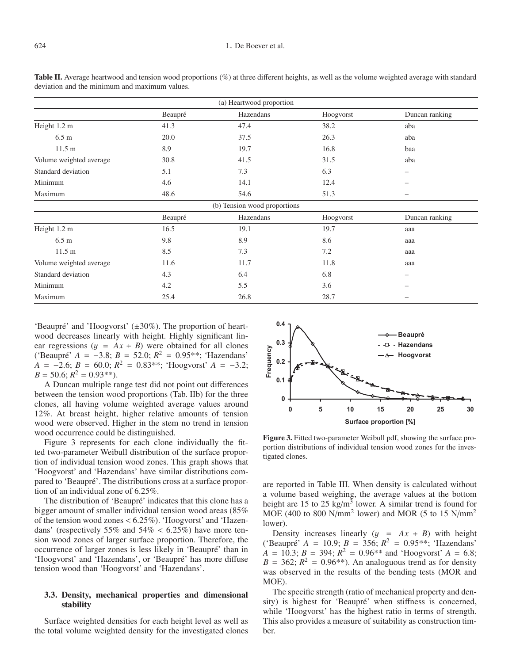#### 624 L. De Boever et al.

**Table II.** Average heartwood and tension wood proportions (%) at three different heights, as well as the volume weighted average with standard deviation and the minimum and maximum values.

|                         |         | (a) Heartwood proportion     |           |                |
|-------------------------|---------|------------------------------|-----------|----------------|
|                         | Beaupré | Hazendans                    | Hoogvorst | Duncan ranking |
| Height 1.2 m            | 41.3    | 47.4                         | 38.2      | aba            |
| 6.5 <sub>m</sub>        | 20.0    | 37.5                         | 26.3      | aba            |
| 11.5 <sub>m</sub>       | 8.9     | 19.7                         | 16.8      | baa            |
| Volume weighted average | 30.8    | 41.5                         | 31.5      | aba            |
| Standard deviation      | 5.1     | 7.3                          | 6.3       | -              |
| Minimum                 | 4.6     | 14.1                         | 12.4      | -              |
| Maximum                 | 48.6    | 54.6                         | 51.3      |                |
|                         |         | (b) Tension wood proportions |           |                |
|                         | Beaupré | Hazendans                    | Hoogyorst | Duncan ranking |
| Height 1.2 m            | 16.5    | 19.1                         | 19.7      | aaa            |
| 6.5 <sub>m</sub>        | 9.8     | 8.9                          | 8.6       | aaa            |
| 11.5 <sub>m</sub>       | 8.5     | 7.3                          | 7.2       | aaa            |
| Volume weighted average | 11.6    | 11.7                         | 11.8      | aaa            |
| Standard deviation      | 4.3     | 6.4                          | 6.8       |                |
| Minimum                 | 4.2     | 5.5                          | 3.6       |                |
| Maximum                 | 25.4    | 26.8                         | 28.7      |                |

'Beaupré' and 'Hoogvorst' (±30%). The proportion of heartwood decreases linearly with height. Highly significant linear regressions  $(y = Ax + B)$  were obtained for all clones ('Beaupré' *A* = −3.8; *B* = 52.0; *R*<sup>2</sup> = 0.95\*\*; 'Hazendans'  $A = -2.6$ ;  $B = 60.0$ ;  $R^2 = 0.83$ <sup>\*\*</sup>; 'Hoogvorst'  $A = -3.2$ ;  $B = 50.6; R^2 = 0.93**$ .

A Duncan multiple range test did not point out differences between the tension wood proportions (Tab. IIb) for the three clones, all having volume weighted average values around 12%. At breast height, higher relative amounts of tension wood were observed. Higher in the stem no trend in tension wood occurrence could be distinguished.

Figure 3 represents for each clone individually the fitted two-parameter Weibull distribution of the surface proportion of individual tension wood zones. This graph shows that 'Hoogvorst' and 'Hazendans' have similar distributions compared to 'Beaupré'. The distributions cross at a surface proportion of an individual zone of 6.25%.

The distribution of 'Beaupré' indicates that this clone has a bigger amount of smaller individual tension wood areas (85% of the tension wood zones < 6.25%). 'Hoogvorst' and 'Hazendans' (respectively 55% and 54%  $<$  6.25%) have more tension wood zones of larger surface proportion. Therefore, the occurrence of larger zones is less likely in 'Beaupré' than in 'Hoogvorst' and 'Hazendans', or 'Beaupré' has more diffuse tension wood than 'Hoogvorst' and 'Hazendans'.

# **3.3. Density, mechanical properties and dimensional stability**

Surface weighted densities for each height level as well as the total volume weighted density for the investigated clones



**Figure 3.** Fitted two-parameter Weibull pdf, showing the surface proportion distributions of individual tension wood zones for the investigated clones.

are reported in Table III. When density is calculated without a volume based weighing, the average values at the bottom height are 15 to 25 kg/m<sup>3</sup> lower. A similar trend is found for MOE (400 to 800 N/mm<sup>2</sup> lower) and MOR (5 to 15 N/mm<sup>2</sup> lower).

Density increases linearly  $(y = Ax + B)$  with height ('Beaupré' *A* = 10.9; *B* = 356;  $R^2$  = 0.95\*\*; 'Hazendans'  $A = 10.3$ ;  $B = 394$ ;  $R^2 = 0.96$ <sup>\*\*</sup> and 'Hoogvorst'  $A = 6.8$ ;  $B = 362$ ;  $R^2 = 0.96$ <sup>\*\*</sup>). An analoguous trend as for density was observed in the results of the bending tests (MOR and MOE).

The specific strength (ratio of mechanical property and density) is highest for 'Beaupré' when stiffness is concerned, while 'Hoogvorst' has the highest ratio in terms of strength. This also provides a measure of suitability as construction timber.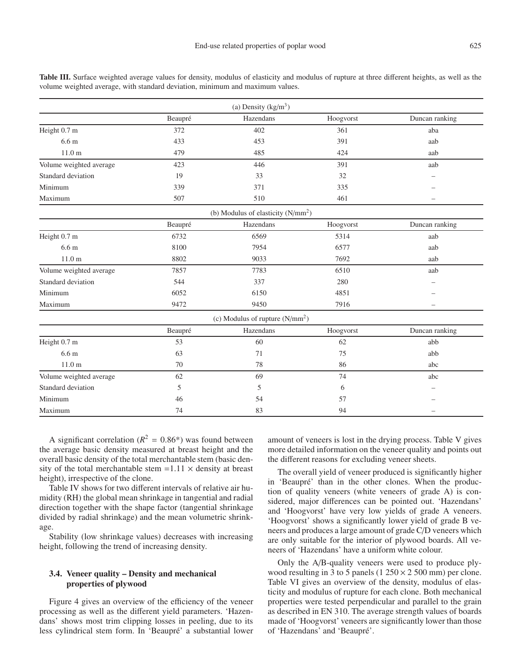|                         |         | (a) Density $(kg/m3)$               |           |                |
|-------------------------|---------|-------------------------------------|-----------|----------------|
|                         | Beaupré | Hazendans                           | Hoogvorst | Duncan ranking |
| Height 0.7 m            | 372     | 402                                 | 361       | aba            |
| 6.6 <sub>m</sub>        | 433     | 453                                 | 391       | aab            |
| 11.0 <sub>m</sub>       | 479     | 485                                 | 424       | aab            |
| Volume weighted average | 423     | 446                                 | 391       | aab            |
| Standard deviation      | 19      | 33                                  | 32        | -              |
| Minimum                 | 339     | 371                                 | 335       |                |
| Maximum                 | 507     | 510                                 | 461       | -              |
|                         |         | (b) Modulus of elasticity $(N/mm2)$ |           |                |
|                         | Beaupré | Hazendans                           | Hoogvorst | Duncan ranking |
| Height 0.7 m            | 6732    | 6569                                | 5314      | aab            |
| 6.6 <sub>m</sub>        | 8100    | 7954                                | 6577      | aab            |
| 11.0 <sub>m</sub>       | 8802    | 9033                                | 7692      | aab            |
| Volume weighted average | 7857    | 7783                                | 6510      | aab            |
| Standard deviation      | 544     | 337                                 | 280       |                |
| Minimum                 | 6052    | 6150                                | 4851      |                |
| Maximum                 | 9472    | 9450                                | 7916      |                |
|                         |         | (c) Modulus of rupture $(N/mm^2)$   |           |                |
|                         | Beaupré | Hazendans                           | Hoogvorst | Duncan ranking |
| Height 0.7 m            | 53      | 60                                  | 62        | abb            |
| 6.6 <sub>m</sub>        | 63      | 71                                  | 75        | abb            |
| 11.0 <sub>m</sub>       | 70      | 78                                  | 86        | abc            |

Volume weighted average 62 69 69 74 abc

 $\frac{1}{100}$  Minimum 2003 –  $\frac{46}{100}$  54 –  $\frac{54}{100}$  57 Maximum 74 83 94 –

Standard deviation 5 5 6 –

**Table III.** Surface weighted average values for density, modulus of elasticity and modulus of rupture at three different heights, as well as the volume weighted average, with standard deviation, minimum and maximum values.

A significant correlation ( $R^2 = 0.86^*$ ) was found between the average basic density measured at breast height and the overall basic density of the total merchantable stem (basic density of the total merchantable stem  $=1.11 \times$  density at breast height), irrespective of the clone.

Table IV shows for two different intervals of relative air humidity (RH) the global mean shrinkage in tangential and radial direction together with the shape factor (tangential shrinkage divided by radial shrinkage) and the mean volumetric shrinkage.

Stability (low shrinkage values) decreases with increasing height, following the trend of increasing density.

# **3.4. Veneer quality – Density and mechanical properties of plywood**

Figure 4 gives an overview of the efficiency of the veneer processing as well as the different yield parameters. 'Hazendans' shows most trim clipping losses in peeling, due to its less cylindrical stem form. In 'Beaupré' a substantial lower amount of veneers is lost in the drying process. Table V gives more detailed information on the veneer quality and points out the different reasons for excluding veneer sheets.

The overall yield of veneer produced is significantly higher in 'Beaupré' than in the other clones. When the production of quality veneers (white veneers of grade A) is considered, major differences can be pointed out. 'Hazendans' and 'Hoogvorst' have very low yields of grade A veneers. 'Hoogvorst' shows a significantly lower yield of grade B veneers and produces a large amount of grade C/D veneers which are only suitable for the interior of plywood boards. All veneers of 'Hazendans' have a uniform white colour.

Only the A/B-quality veneers were used to produce plywood resulting in 3 to 5 panels ( $1\,250 \times 2\,500$  mm) per clone. Table VI gives an overview of the density, modulus of elasticity and modulus of rupture for each clone. Both mechanical properties were tested perpendicular and parallel to the grain as described in EN 310. The average strength values of boards made of 'Hoogvorst' veneers are significantly lower than those of 'Hazendans' and 'Beaupré'.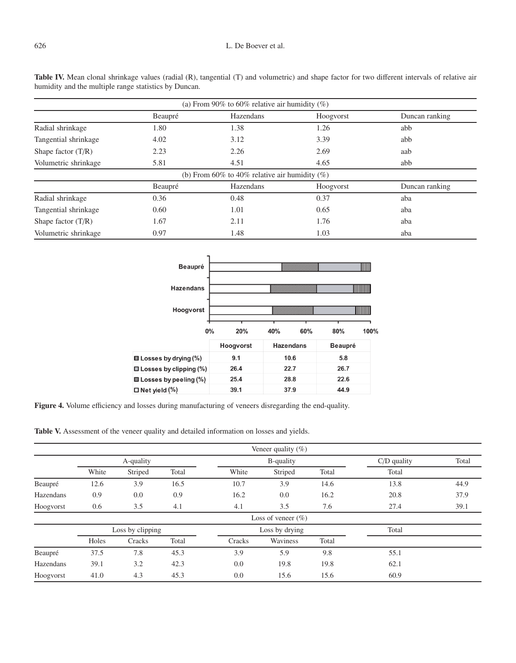#### 626 L. De Boever et al.

**Table IV.** Mean clonal shrinkage values (radial (R), tangential (T) and volumetric) and shape factor for two different intervals of relative air humidity and the multiple range statistics by Duncan.

|                      |         | (a) From 90% to 60% relative air humidity $(\%)$ |           |                |
|----------------------|---------|--------------------------------------------------|-----------|----------------|
|                      | Beaupré | <b>Hazendans</b>                                 | Hoogyorst | Duncan ranking |
| Radial shrinkage     | 1.80    | 1.38                                             | 1.26      | abb            |
| Tangential shrinkage | 4.02    | 3.12                                             | 3.39      | abb            |
| Shape factor $(T/R)$ | 2.23    | 2.26                                             | 2.69      | aab            |
| Volumetric shrinkage | 5.81    | 4.51                                             | 4.65      | abb            |
|                      |         | (b) From 60% to 40% relative air humidity $(\%)$ |           |                |
|                      | Beaupré | Hazendans                                        | Hoogyorst | Duncan ranking |
| Radial shrinkage     | 0.36    | 0.48                                             | 0.37      | aba            |
| Tangential shrinkage | 0.60    | 1.01                                             | 0.65      | aba            |
| Shape factor $(T/R)$ | 1.67    | 2.11                                             | 1.76      | aba            |
| Volumetric shrinkage | 0.97    | 1.48                                             | 1.03      | aba            |



**Figure 4.** Volume efficiency and losses during manufacturing of veneers disregarding the end-quality.

**Table V.** Assessment of the veneer quality and detailed information on losses and yields.

|           |       |                  |       |                   | Veneer quality $(\%)$  |               |       |      |
|-----------|-------|------------------|-------|-------------------|------------------------|---------------|-------|------|
|           |       | A-quality        |       | <b>B</b> -quality |                        | $C/D$ quality | Total |      |
|           | White | Striped          | Total | White             | Striped                | Total         | Total |      |
| Beaupré   | 12.6  | 3.9              | 16.5  | 10.7              | 3.9                    | 14.6          | 13.8  | 44.9 |
| Hazendans | 0.9   | 0.0              | 0.9   | 16.2              | 0.0                    | 16.2          | 20.8  | 37.9 |
| Hoogyorst | 0.6   | 3.5              | 4.1   | 4.1               | 3.5                    | 7.6           | 27.4  | 39.1 |
|           |       |                  |       |                   | Loss of veneer $(\% )$ |               |       |      |
|           |       | Loss by clipping |       |                   | Loss by drying         |               | Total |      |
|           | Holes | Cracks           | Total | Cracks            | Waviness               | Total         |       |      |
| Beaupré   | 37.5  | 7.8              | 45.3  | 3.9               | 5.9                    | 9.8           | 55.1  |      |
| Hazendans | 39.1  | 3.2              | 42.3  | 0.0               | 19.8                   | 19.8          | 62.1  |      |
| Hoogyorst | 41.0  | 4.3              | 45.3  | 0.0               | 15.6                   | 15.6          | 60.9  |      |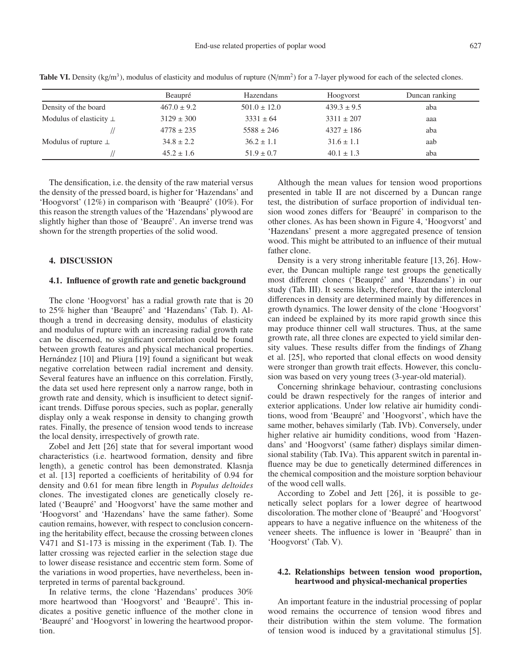|                               | Beaupré         | Hazendans        | Hoogyorst       | Duncan ranking |
|-------------------------------|-----------------|------------------|-----------------|----------------|
| Density of the board          | $467.0 \pm 9.2$ | $501.0 \pm 12.0$ | $439.3 \pm 9.5$ | aba            |
| Modulus of elasticity $\perp$ | $3129 \pm 300$  | $3331 \pm 64$    | $3311 \pm 207$  | aaa            |
|                               | $4778 \pm 235$  | $5588 \pm 246$   | $4327 \pm 186$  | aba            |
| Modulus of rupture $\perp$    | $34.8 \pm 2.2$  | $36.2 \pm 1.1$   | $31.6 \pm 1.1$  | aab            |
|                               | $45.2 \pm 1.6$  | $51.9 \pm 0.7$   | $40.1 \pm 1.3$  | aba            |

**Table VI.** Density (kg/m<sup>3</sup>), modulus of elasticity and modulus of rupture (N/mm<sup>2</sup>) for a 7-layer plywood for each of the selected clones.

The densification, i.e. the density of the raw material versus the density of the pressed board, is higher for 'Hazendans' and 'Hoogvorst' (12%) in comparison with 'Beaupré' (10%). For this reason the strength values of the 'Hazendans' plywood are slightly higher than those of 'Beaupré'. An inverse trend was shown for the strength properties of the solid wood.

# **4. DISCUSSION**

#### **4.1. Influence of growth rate and genetic background**

The clone 'Hoogvorst' has a radial growth rate that is 20 to 25% higher than 'Beaupré' and 'Hazendans' (Tab. I). Although a trend in decreasing density, modulus of elasticity and modulus of rupture with an increasing radial growth rate can be discerned, no significant correlation could be found between growth features and physical mechanical properties. Hernández [10] and Pliura [19] found a significant but weak negative correlation between radial increment and density. Several features have an influence on this correlation. Firstly, the data set used here represent only a narrow range, both in growth rate and density, which is insufficient to detect significant trends. Diffuse porous species, such as poplar, generally display only a weak response in density to changing growth rates. Finally, the presence of tension wood tends to increase the local density, irrespectively of growth rate.

Zobel and Jett [26] state that for several important wood characteristics (i.e. heartwood formation, density and fibre length), a genetic control has been demonstrated. Klasnja et al. [13] reported a coefficients of heritability of 0.94 for density and 0.61 for mean fibre length in *Populus deltoides* clones. The investigated clones are genetically closely related ('Beaupré' and 'Hoogvorst' have the same mother and 'Hoogvorst' and 'Hazendans' have the same father). Some caution remains, however, with respect to conclusion concerning the heritability effect, because the crossing between clones V471 and S1-173 is missing in the experiment (Tab. I). The latter crossing was rejected earlier in the selection stage due to lower disease resistance and eccentric stem form. Some of the variations in wood properties, have nevertheless, been interpreted in terms of parental background.

In relative terms, the clone 'Hazendans' produces 30% more heartwood than 'Hoogvorst' and 'Beaupré'. This indicates a positive genetic influence of the mother clone in 'Beaupré' and 'Hoogvorst' in lowering the heartwood proportion.

Although the mean values for tension wood proportions presented in table II are not discerned by a Duncan range test, the distribution of surface proportion of individual tension wood zones differs for 'Beaupré' in comparison to the other clones. As has been shown in Figure 4, 'Hoogvorst' and 'Hazendans' present a more aggregated presence of tension wood. This might be attributed to an influence of their mutual father clone.

Density is a very strong inheritable feature [13, 26]. However, the Duncan multiple range test groups the genetically most different clones ('Beaupré' and 'Hazendans') in our study (Tab. III). It seems likely, therefore, that the interclonal differences in density are determined mainly by differences in growth dynamics. The lower density of the clone 'Hoogvorst' can indeed be explained by its more rapid growth since this may produce thinner cell wall structures. Thus, at the same growth rate, all three clones are expected to yield similar density values. These results differ from the findings of Zhang et al. [25], who reported that clonal effects on wood density were stronger than growth trait effects. However, this conclusion was based on very young trees (3-year-old material).

Concerning shrinkage behaviour, contrasting conclusions could be drawn respectively for the ranges of interior and exterior applications. Under low relative air humidity conditions, wood from 'Beaupré' and 'Hoogvorst', which have the same mother, behaves similarly (Tab. IVb). Conversely, under higher relative air humidity conditions, wood from 'Hazendans' and 'Hoogvorst' (same father) displays similar dimensional stability (Tab. IVa). This apparent switch in parental influence may be due to genetically determined differences in the chemical composition and the moisture sorption behaviour of the wood cell walls.

According to Zobel and Jett [26], it is possible to genetically select poplars for a lower degree of heartwood discoloration. The mother clone of 'Beaupré' and 'Hoogvorst' appears to have a negative influence on the whiteness of the veneer sheets. The influence is lower in 'Beaupré' than in 'Hoogvorst' (Tab. V).

# **4.2. Relationships between tension wood proportion, heartwood and physical-mechanical properties**

An important feature in the industrial processing of poplar wood remains the occurrence of tension wood fibres and their distribution within the stem volume. The formation of tension wood is induced by a gravitational stimulus [5].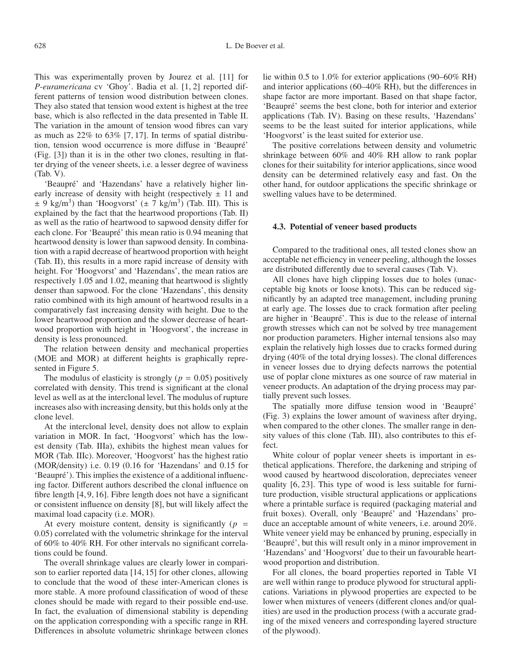This was experimentally proven by Jourez et al. [11] for *P*-*euramericana* cv 'Ghoy'. Badia et al. [1, 2] reported different patterns of tension wood distribution between clones. They also stated that tension wood extent is highest at the tree base, which is also reflected in the data presented in Table II. The variation in the amount of tension wood fibres can vary as much as 22% to 63% [7, 17]. In terms of spatial distribution, tension wood occurrence is more diffuse in 'Beaupré' (Fig. [3]) than it is in the other two clones, resulting in flatter drying of the veneer sheets, i.e. a lesser degree of waviness (Tab. V).

'Beaupré' and 'Hazendans' have a relatively higher linearly increase of density with height (respectively  $\pm$  11 and  $\pm$  9 kg/m<sup>3</sup>) than 'Hoogvorst' ( $\pm$  7 kg/m<sup>3</sup>) (Tab. III). This is explained by the fact that the heartwood proportions (Tab. II) as well as the ratio of heartwood to sapwood density differ for each clone. For 'Beaupré' this mean ratio is 0.94 meaning that heartwood density is lower than sapwood density. In combination with a rapid decrease of heartwood proportion with height (Tab. II), this results in a more rapid increase of density with height. For 'Hoogvorst' and 'Hazendans', the mean ratios are respectively 1.05 and 1.02, meaning that heartwood is slightly denser than sapwood. For the clone 'Hazendans', this density ratio combined with its high amount of heartwood results in a comparatively fast increasing density with height. Due to the lower heartwood proportion and the slower decrease of heartwood proportion with height in 'Hoogvorst', the increase in density is less pronounced.

The relation between density and mechanical properties (MOE and MOR) at different heights is graphically represented in Figure 5.

The modulus of elasticity is strongly ( $p = 0.05$ ) positively correlated with density. This trend is significant at the clonal level as well as at the interclonal level. The modulus of rupture increases also with increasing density, but this holds only at the clone level.

At the interclonal level, density does not allow to explain variation in MOR. In fact, 'Hoogvorst' which has the lowest density (Tab. IIIa), exhibits the highest mean values for MOR (Tab. IIIc). Moreover, 'Hoogvorst' has the highest ratio (MOR/density) i.e. 0.19 (0.16 for 'Hazendans' and 0.15 for 'Beaupré'). This implies the existence of a additional influencing factor. Different authors described the clonal influence on fibre length [4, 9, 16]. Fibre length does not have a significant or consistent influence on density [8], but will likely affect the maximal load capacity (i.e. MOR).

At every moisture content, density is significantly  $(p =$ 0.05) correlated with the volumetric shrinkage for the interval of 60% to 40% RH. For other intervals no significant correlations could be found.

The overall shrinkage values are clearly lower in comparison to earlier reported data [14, 15] for other clones, allowing to conclude that the wood of these inter-American clones is more stable. A more profound classification of wood of these clones should be made with regard to their possible end-use. In fact, the evaluation of dimensional stability is depending on the application corresponding with a specific range in RH. Differences in absolute volumetric shrinkage between clones lie within 0.5 to 1.0% for exterior applications (90–60% RH) and interior applications (60–40% RH), but the differences in shape factor are more important. Based on that shape factor, 'Beaupré' seems the best clone, both for interior and exterior applications (Tab. IV). Basing on these results, 'Hazendans' seems to be the least suited for interior applications, while 'Hoogvorst' is the least suited for exterior use.

The positive correlations between density and volumetric shrinkage between 60% and 40% RH allow to rank poplar clones for their suitability for interior applications, since wood density can be determined relatively easy and fast. On the other hand, for outdoor applications the specific shrinkage or swelling values have to be determined.

#### **4.3. Potential of veneer based products**

Compared to the traditional ones, all tested clones show an acceptable net efficiency in veneer peeling, although the losses are distributed differently due to several causes (Tab. V).

All clones have high clipping losses due to holes (unacceptable big knots or loose knots). This can be reduced significantly by an adapted tree management, including pruning at early age. The losses due to crack formation after peeling are higher in 'Beaupré'. This is due to the release of internal growth stresses which can not be solved by tree management nor production parameters. Higher internal tensions also may explain the relatively high losses due to cracks formed during drying (40% of the total drying losses). The clonal differences in veneer losses due to drying defects narrows the potential use of poplar clone mixtures as one source of raw material in veneer products. An adaptation of the drying process may partially prevent such losses.

The spatially more diffuse tension wood in 'Beaupré' (Fig. 3) explains the lower amount of waviness after drying, when compared to the other clones. The smaller range in density values of this clone (Tab. III), also contributes to this effect.

White colour of poplar veneer sheets is important in esthetical applications. Therefore, the darkening and striping of wood caused by heartwood discoloration, depreciates veneer quality [6, 23]. This type of wood is less suitable for furniture production, visible structural applications or applications where a printable surface is required (packaging material and fruit boxes). Overall, only 'Beaupré' and 'Hazendans' produce an acceptable amount of white veneers, i.e. around 20%. White veneer yield may be enhanced by pruning, especially in 'Beaupré', but this will result only in a minor improvement in 'Hazendans' and 'Hoogvorst' due to their un favourable heartwood proportion and distribution.

For all clones, the board properties reported in Table VI are well within range to produce plywood for structural applications. Variations in plywood properties are expected to be lower when mixtures of veneers (different clones and/or qualities) are used in the production process (with a accurate grading of the mixed veneers and corresponding layered structure of the plywood).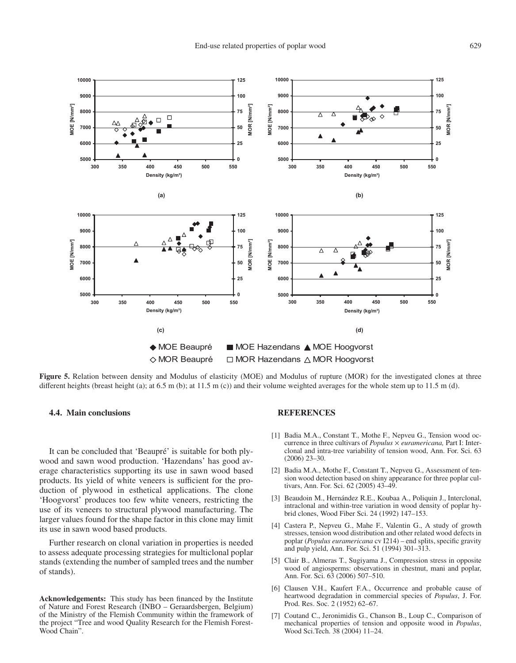

**Figure 5.** Relation between density and Modulus of elasticity (MOE) and Modulus of rupture (MOR) for the investigated clones at three different heights (breast height (a); at  $6.5$  m (b); at  $11.5$  m (c)) and their volume weighted averages for the whole stem up to  $11.5$  m (d).

### **4.4. Main conclusions**

It can be concluded that 'Beaupré' is suitable for both plywood and sawn wood production. 'Hazendans' has good average characteristics supporting its use in sawn wood based products. Its yield of white veneers is sufficient for the production of plywood in esthetical applications. The clone 'Hoogvorst' produces too few white veneers, restricting the use of its veneers to structural plywood manufacturing. The larger values found for the shape factor in this clone may limit its use in sawn wood based products.

Further research on clonal variation in properties is needed to assess adequate processing strategies for multiclonal poplar stands (extending the number of sampled trees and the number of stands).

**Acknowledgements:** This study has been financed by the Institute of Nature and Forest Research (INBO – Geraardsbergen, Belgium) of the Ministry of the Flemish Community within the framework of the project "Tree and wood Quality Research for the Flemish Forest-Wood Chain".

# **REFERENCES**

- [1] Badia M.A., Constant T., Mothe F., Nepveu G., Tension wood occurrence in three cultivars of *Populus* × *euramericana,* Part I: Interclonal and intra-tree variability of tension wood, Ann. For. Sci. 63 (2006) 23–30.
- [2] Badia M.A., Mothe F., Constant T., Nepveu G., Assessment of tension wood detection based on shiny appearance for three poplar cultivars, Ann. For. Sci. 62 (2005) 43–49.
- [3] Beaudoin M., Hernández R.E., Koubaa A., Poliquin J., Interclonal, intraclonal and within-tree variation in wood density of poplar hybrid clones, Wood Fiber Sci. 24 (1992) 147–153.
- [4] Castera P., Nepveu G., Mahe F., Valentin G., A study of growth stresses, tension wood distribution and other related wood defects in poplar (*Populus euramericana* cv I214) – end splits, specific gravity and pulp yield, Ann. For. Sci. 51 (1994) 301–313.
- [5] Clair B., Almeras T., Sugiyama J., Compression stress in opposite wood of angiosperms: observations in chestnut, mani and poplar, Ann. For. Sci. 63 (2006) 507–510.
- [6] Clausen V.H., Kaufert F.A., Occurrence and probable cause of heartwood degradation in commercial species of *Populus*, J. For. Prod. Res. Soc. 2 (1952) 62–67.
- [7] Coutand C., Jeronimidis G., Chanson B., Loup C., Comparison of mechanical properties of tension and opposite wood in *Populus*, Wood Sci.Tech. 38 (2004) 11–24.